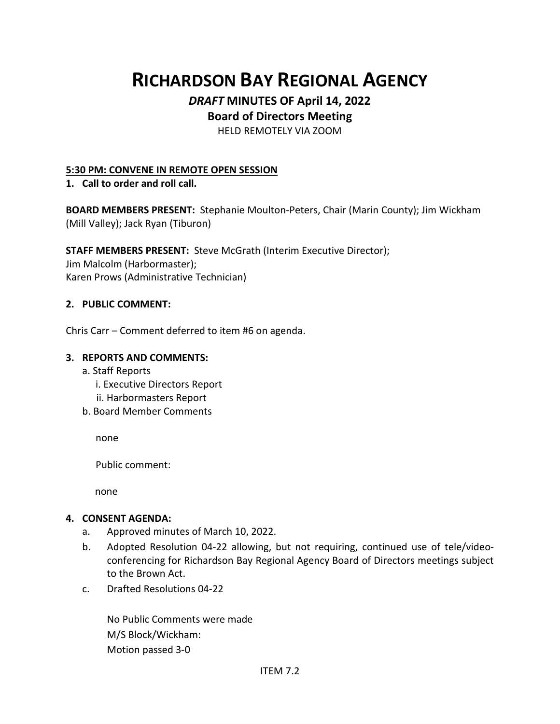# **RICHARDSON BAY REGIONAL AGENCY**

# *DRAFT* **MINUTES OF April 14, 2022**

# **Board of Directors Meeting**

HELD REMOTELY VIA ZOOM

#### **5:30 PM: CONVENE IN REMOTE OPEN SESSION**

#### **1. Call to order and roll call.**

**BOARD MEMBERS PRESENT:** Stephanie Moulton-Peters, Chair (Marin County); Jim Wickham (Mill Valley); Jack Ryan (Tiburon)

## **STAFF MEMBERS PRESENT:** Steve McGrath (Interim Executive Director);

Jim Malcolm (Harbormaster); Karen Prows (Administrative Technician)

#### **2. PUBLIC COMMENT:**

Chris Carr – Comment deferred to item #6 on agenda.

#### **3. REPORTS AND COMMENTS:**

- a. Staff Reports
	- i. Executive Directors Report
	- ii. Harbormasters Report
- b. Board Member Comments

none

Public comment:

none

## **4. CONSENT AGENDA:**

- a. Approved minutes of March 10, 2022.
- b. Adopted Resolution 04-22 allowing, but not requiring, continued use of tele/videoconferencing for Richardson Bay Regional Agency Board of Directors meetings subject to the Brown Act.
- c. Drafted Resolutions 04-22

No Public Comments were made M/S Block/Wickham: Motion passed 3-0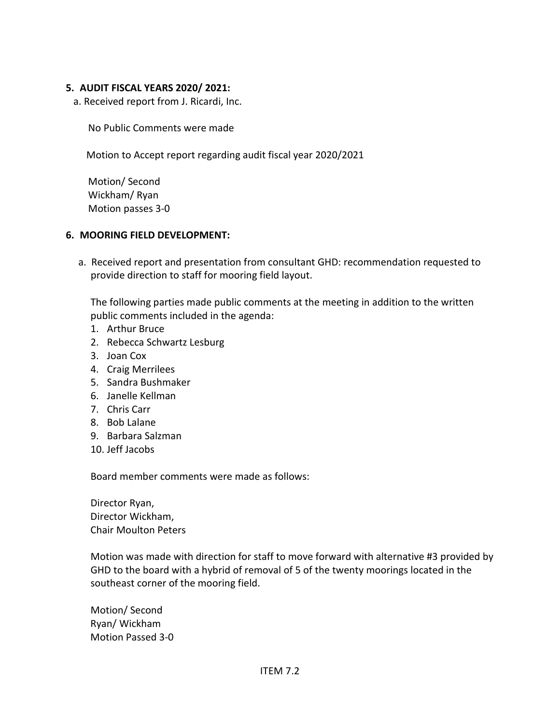#### **5. AUDIT FISCAL YEARS 2020/ 2021:**

a. Received report from J. Ricardi, Inc.

No Public Comments were made

Motion to Accept report regarding audit fiscal year 2020/2021

Motion/ Second Wickham/ Ryan Motion passes 3-0

#### **6. MOORING FIELD DEVELOPMENT:**

a. Received report and presentation from consultant GHD: recommendation requested to provide direction to staff for mooring field layout.

The following parties made public comments at the meeting in addition to the written public comments included in the agenda:

- 1. Arthur Bruce
- 2. Rebecca Schwartz Lesburg
- 3. Joan Cox
- 4. Craig Merrilees
- 5. Sandra Bushmaker
- 6. Janelle Kellman
- 7. Chris Carr
- 8. Bob Lalane
- 9. Barbara Salzman
- 10. Jeff Jacobs

Board member comments were made as follows:

Director Ryan, Director Wickham, Chair Moulton Peters

Motion was made with direction for staff to move forward with alternative #3 provided by GHD to the board with a hybrid of removal of 5 of the twenty moorings located in the southeast corner of the mooring field.

Motion/ Second Ryan/ Wickham Motion Passed 3-0